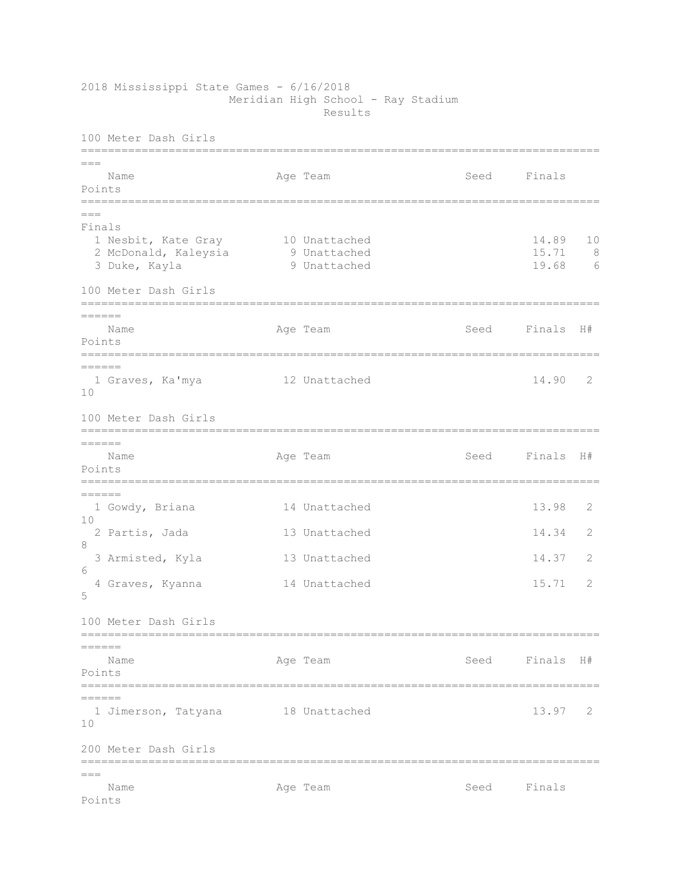2018 Mississippi State Games - 6/16/2018 Meridian High School - Ray Stadium Results

100 Meter Dash Girls ============================================================================= === Name **Age Team** Age Team Seed Finals Points =============================================================================  $=$ Finals 1 Nesbit, Kate Gray 10 Unattached 14.89 10 2 McDonald, Kaleysia 9 Unattached 15.71 8 1 Nesbit, Kate Gray 10 Unattached 14.89 10<br>
2 McDonald, Kaleysia 9 Unattached 15.71 8<br>
3 Duke, Kayla 9 Unattached 19.68 6 100 Meter Dash Girls =============================================================================  $=$ Name Age Team Seed Finals H# Points ============================================================================= ====== 1 Graves, Ka'mya 12 Unattached 14.90 2 10 100 Meter Dash Girls =============================================================================  $=$ Name Age Team Seed Finals H# Points ============================================================================= ====== 1 Gowdy, Briana 14 Unattached 13.98 2 10 2 Partis, Jada 13 Unattached 14.34 2 8 3 Armisted, Kyla 13 Unattached 14.37 2 6 4 Graves, Kyanna 14 Unattached 15.71 2 5 100 Meter Dash Girls ============================================================================= ====== Name Age Team Seed Finals H# Points =============================================================================  $=$  1 Jimerson, Tatyana 18 Unattached 13.97 2 10 200 Meter Dash Girls ============================================================================= === Name **Age Team** Age Team Seed Finals Points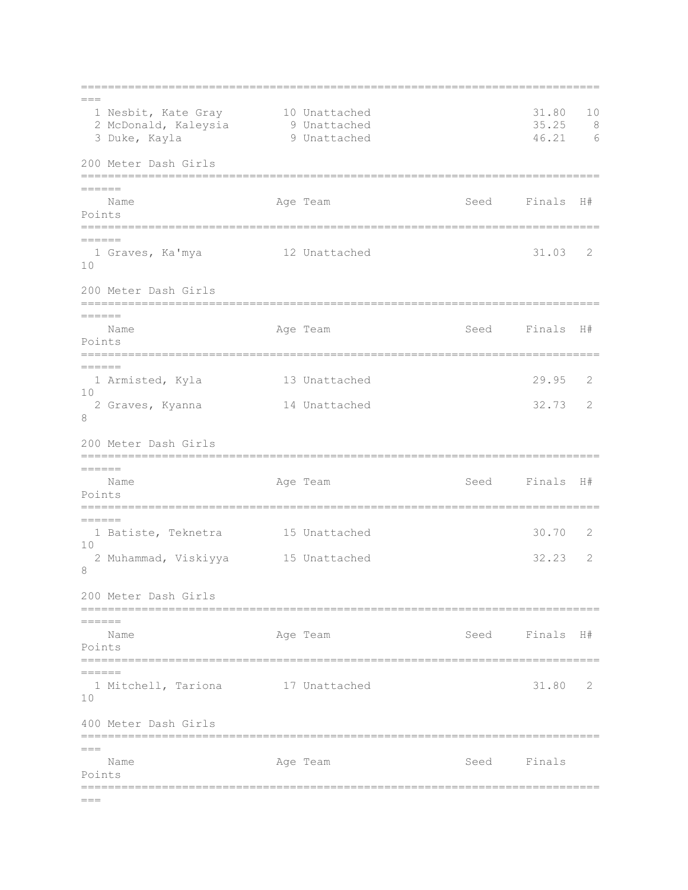=============================================================================  $=$ 1 Nesbit, Kate Gray 10 Unattached 19 1.80 10<br>2 McDonald, Kaleysia 31.80 9 Unattached 35.25 8 2 McDonald, Kaleysia 9 Unattached 35.25 8 3 Duke, Kayla 9 Unattached 46.21 6 200 Meter Dash Girls ============================================================================= ====== Name **Age Team Seed Finals H**# Points ============================================================================= ====== 1 Graves, Ka'mya 12 Unattached 31.03 2 10 200 Meter Dash Girls ============================================================================= ====== Name Age Team Seed Finals H# Points ============================================================================= ====== 1 Armisted, Kyla 13 Unattached 29.95 2 10 2 Graves, Kyanna 14 Unattached 32.73 2 8 200 Meter Dash Girls =============================================================================  $=$ Name **Age Team** Age Team Seed Finals H# Points ============================================================================= ====== 1 Batiste, Teknetra 15 Unattached 30.70 2 10 2 Muhammad, Viskiyya 15 Unattached 32.23 2 8 200 Meter Dash Girls ============================================================================= ====== Name **Age Team Seed Finals H**# Points ============================================================================= ====== 1 Mitchell, Tariona 17 Unattached 31.80 2 10 400 Meter Dash Girls =============================================================================  $=$ Name Age Team Seed Finals Points =============================================================================  $=$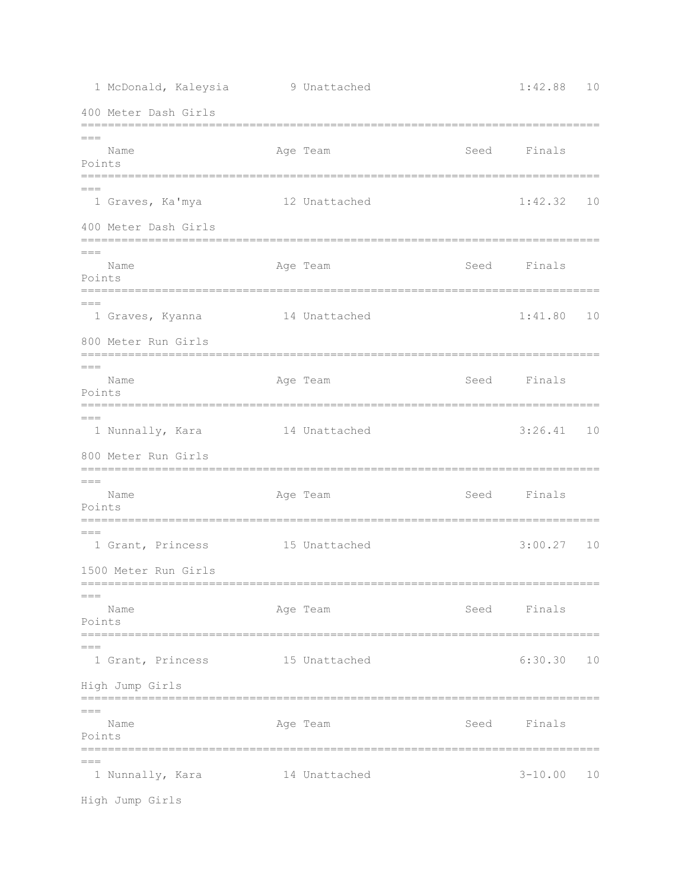| 1 McDonald, Kaleysia                                     | 9 Unattached  |      | 1:42.88     | 10 |
|----------------------------------------------------------|---------------|------|-------------|----|
| 400 Meter Dash Girls                                     |               |      |             |    |
| $===$                                                    |               |      |             |    |
| Name<br>Points                                           | Age Team      | Seed | Finals      |    |
| $== ==$<br>1 Graves, Ka'mya                              | 12 Unattached |      | 1:42.32     | 10 |
| 400 Meter Dash Girls                                     |               |      |             |    |
| $===$<br>Name<br>Points                                  | Age Team      | Seed | Finals      |    |
| $== ==$<br>1 Graves, Kyanna                              | 14 Unattached |      | 1:41.80     | 10 |
| 800 Meter Run Girls                                      |               |      |             |    |
| $== =$<br>Name<br>Points                                 | Age Team      | Seed | Finals      |    |
| $===$<br>1 Nunnally, Kara                                | 14 Unattached |      | 3:26.41     | 10 |
| 800 Meter Run Girls                                      |               |      |             |    |
| $===$<br>Name<br>Points                                  | Age Team      | Seed | Finals      |    |
| ---<br>1 Grant, Princess                                 | 15 Unattached |      | 3:00.27     | 10 |
| 1500 Meter Run Girls<br>-------------------------------- |               |      |             |    |
| $== =$<br>Name<br>Points                                 | Age Team      |      | Seed Finals |    |
| $= ==$<br>1 Grant, Princess                              | 15 Unattached |      | 6:30.30     | 10 |
| High Jump Girls<br>==================                    |               |      |             |    |
| $===$<br>Name<br>Points                                  | Age Team      | Seed | Finals      |    |
| $== ==$<br>1 Nunnally, Kara                              | 14 Unattached |      | $3 - 10.00$ | 10 |
| High Jump Girls                                          |               |      |             |    |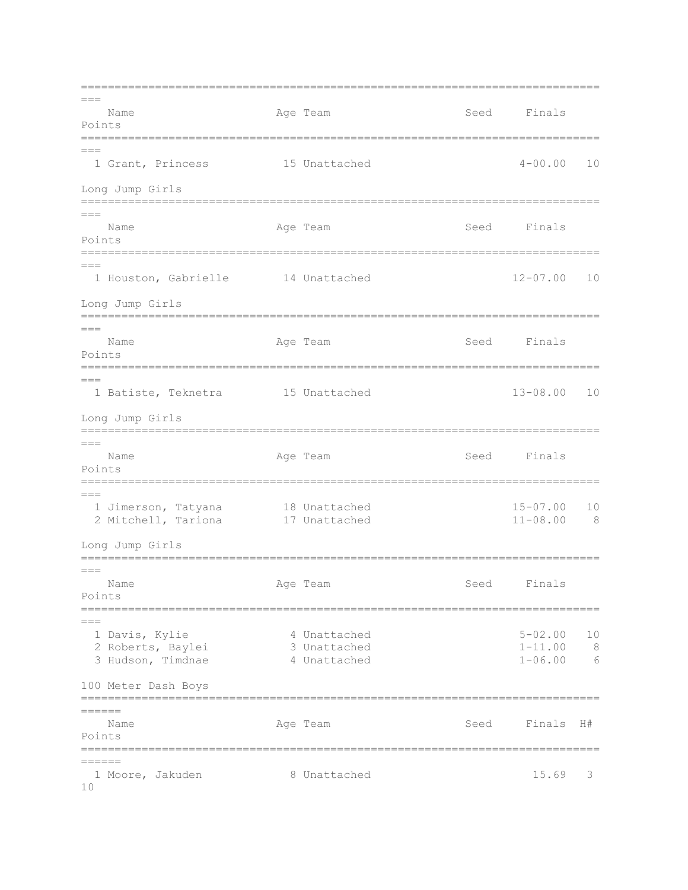=============================================================================  $---$ Name **Age Team** Age Team Seed Finals Points =============================================================================  $---$  1 Grant, Princess 15 Unattached 4-00.00 10 Long Jump Girls =============================================================================  $=$ Name **Age Team** Age Team Seed Finals Points =============================================================================  $---$  1 Houston, Gabrielle 14 Unattached 12-07.00 10 Long Jump Girls =============================================================================  $---$ Name Age Team Age Team Seed Finals Points ============================================================================= === 1 Batiste, Teknetra 15 Unattached 13-08.00 10 Long Jump Girls =============================================================================  $=$ Name **Age Team** Age Team Seed Finals Points =============================================================================  $=$  1 Jimerson, Tatyana 18 Unattached 15-07.00 10 2 Mitchell, Tariona 17 Unattached 11-08.00 8 Long Jump Girls =============================================================================  $=$ Name **Age Team** Age Team Seed Finals Points =============================================================================  $=$  1 Davis, Kylie 4 Unattached 5-02.00 10 2 Roberts, Baylei 3 Unattached 1-11.00 8 3 Hudson, Timdnae  $\begin{array}{ccc} 4 & \text{Unattached} & \text{on} & \text{1-06.00} & 6 \end{array}$ 100 Meter Dash Boys =============================================================================  $=$ Name **Age Team Seed Finals H**# Points =============================================================================  $=$  1 Moore, Jakuden 8 Unattached 15.69 3 10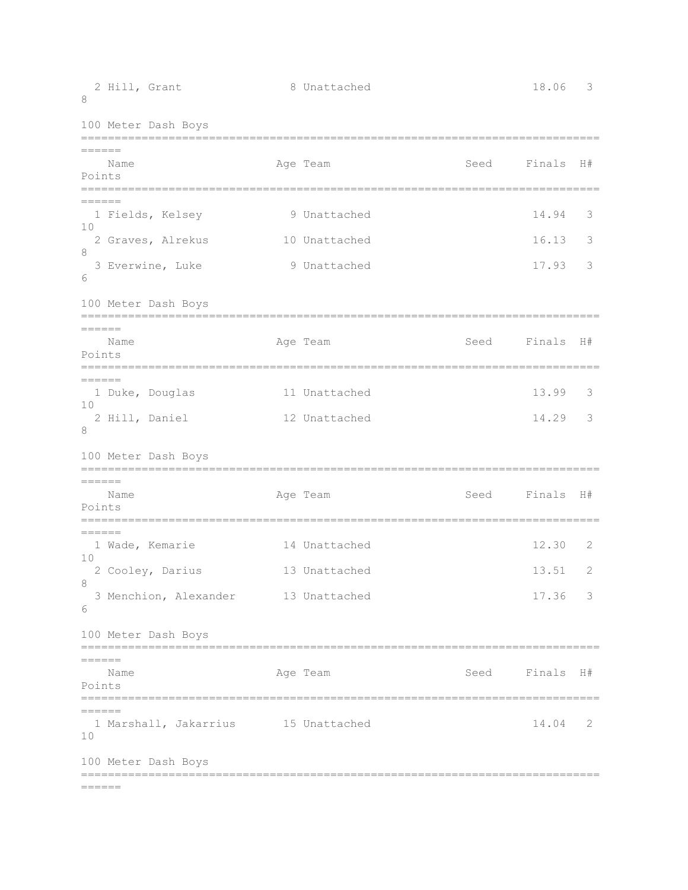| 8                                   | 2 Hill, Grant                                                                                | 8 Unattached                                                           |                | 18.06                   | 3           |
|-------------------------------------|----------------------------------------------------------------------------------------------|------------------------------------------------------------------------|----------------|-------------------------|-------------|
|                                     | 100 Meter Dash Boys                                                                          |                                                                        |                |                         |             |
| $=$ $=$ $=$ $=$ $=$<br>Points       | Name                                                                                         | Age Team                                                               | Seed           | Finals                  | H#          |
| $=$ $=$ $=$ $=$ $=$<br>10<br>8<br>6 | 1 Fields, Kelsey<br>2 Graves, Alrekus<br>3 Everwine, Luke<br>100 Meter Dash Boys             | 9 Unattached<br>10 Unattached<br>9 Unattached                          |                | 14.94<br>16.13<br>17.93 | 3<br>3<br>3 |
| $=$ $=$ $=$ $=$ $=$<br>Points       | Name                                                                                         | Age Team                                                               | Seed Finals    |                         | H#          |
| $=======$<br>10<br>8                | 1 Duke, Douglas<br>2 Hill, Daniel<br>100 Meter Dash Boys<br>================================ | 11 Unattached<br>12 Unattached<br>==================================== |                | 13.99<br>14.29          | 3<br>3      |
| $=======$<br>Points                 | Name                                                                                         | Age Team                                                               | Seed           | Finals                  | H#          |
| ======<br>10<br>8<br>6              | 1 Wade, Kemarie<br>2 Cooley, Darius<br>3 Menchion, Alexander                                 | 14 Unattached<br>13 Unattached<br>13 Unattached                        |                | 12.30<br>13.51<br>17.36 | 2<br>2<br>3 |
| $=$ $=$ $=$ $=$ $=$                 | 100 Meter Dash Boys<br>Name                                                                  | Age Team                                                               | Seed Finals H# |                         |             |
| Points<br>$=======$<br>10           | 1 Marshall, Jakarrius 15 Unattached                                                          |                                                                        |                | $14.04$ 2               |             |
| ======                              | 100 Meter Dash Boys<br>================================                                      |                                                                        |                |                         |             |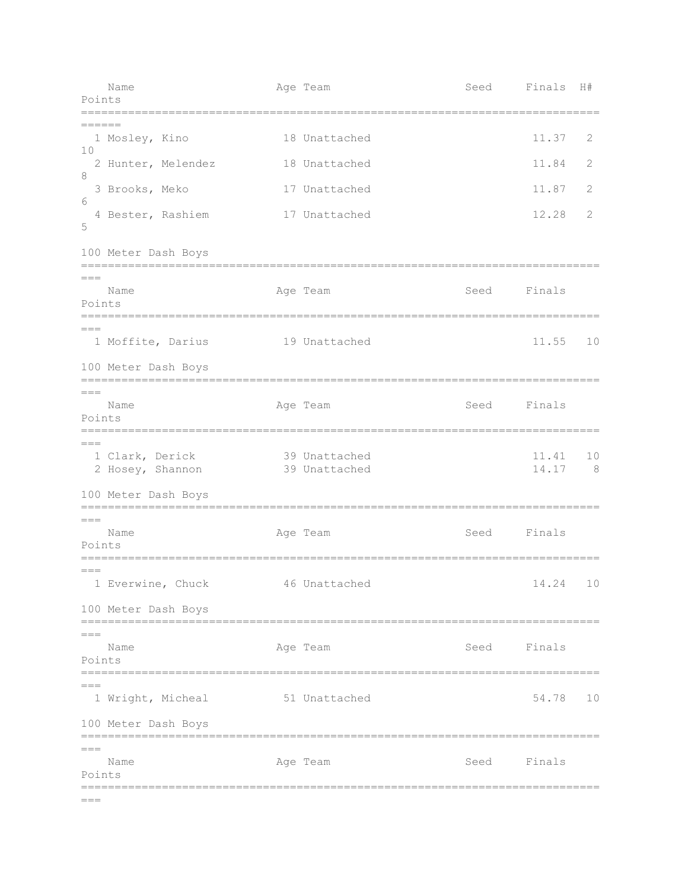| Points           | Name                                                       | Age Team                       | Seed | Finals         | H#      |
|------------------|------------------------------------------------------------|--------------------------------|------|----------------|---------|
| ======           |                                                            |                                |      |                |         |
| 10               | 1 Mosley, Kino                                             | 18 Unattached                  |      | 11.37          | 2       |
| 8                | 2 Hunter, Melendez                                         | 18 Unattached                  |      | 11.84          | 2       |
| 6                | 3 Brooks, Meko                                             | 17 Unattached                  |      | 11.87          | 2       |
| 5                | 4 Bester, Rashiem                                          | 17 Unattached                  |      | 12.28          | 2       |
|                  | 100 Meter Dash Boys                                        |                                |      |                |         |
| $===$<br>Points  | Name                                                       | Age Team                       | Seed | Finals         |         |
|                  | 1 Moffite, Darius                                          | 19 Unattached                  |      | 11.55          | 10      |
|                  | 100 Meter Dash Boys                                        |                                |      |                |         |
| $== =$<br>Points | Name                                                       | Age Team                       | Seed | Finals         |         |
| $== =$           | 1 Clark, Derick<br>2 Hosey, Shannon<br>100 Meter Dash Boys | 39 Unattached<br>39 Unattached |      | 11.41<br>14.17 | 10<br>8 |
| $===$            | =============                                              | ============================== |      |                |         |
| Points           | Name                                                       | Age Team                       | Seed | Finals         |         |
| $== ==$          | 1 Everwine, Chuck                                          | 46 Unattached                  |      | 14.24 10       |         |
|                  | 100 Meter Dash Boys                                        |                                |      |                |         |
| $===$<br>Points  | Name                                                       | Age Team                       | Seed | Finals         |         |
| $===$            | 1 Wright, Micheal                                          | 51 Unattached                  |      | 54.78          | 10      |
|                  | 100 Meter Dash Boys                                        | ===================            |      |                |         |
| $===$<br>Points  | Name                                                       | Age Team                       | Seed | Finals         |         |
| $===$            |                                                            |                                |      |                |         |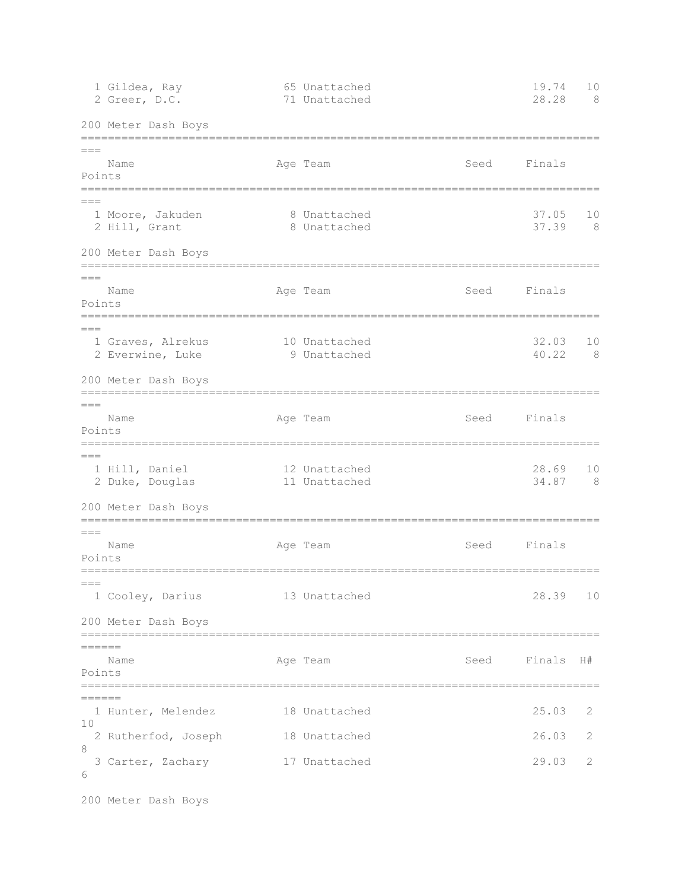|                           | 1 Gildea, Ray<br>2 Greer, D.C.                         | 65 Unattached<br>71 Unattached          |      | 19.74<br>28.28 | 10<br>8 |
|---------------------------|--------------------------------------------------------|-----------------------------------------|------|----------------|---------|
|                           | 200 Meter Dash Boys                                    |                                         |      |                |         |
| $---$<br>Points           | Name                                                   | Age Team                                | Seed | Finals         |         |
| $---$                     | 1 Moore, Jakuden<br>2 Hill, Grant                      | 8 Unattached<br>8 Unattached            |      | 37.05<br>37.39 | 10<br>8 |
|                           | 200 Meter Dash Boys                                    |                                         |      |                |         |
| ===<br>Points             | Name                                                   | Age Team                                | Seed | Finals         |         |
| $== ==$                   | 1 Graves, Alrekus<br>2 Everwine, Luke                  | 10 Unattached<br>9 Unattached           |      | 32.03<br>40.22 | 10<br>8 |
|                           | 200 Meter Dash Boys                                    |                                         |      |                |         |
| $===$<br>Points           | Name                                                   | Age Team                                | Seed | Finals         |         |
| $=$ $=$ $=$               | 1 Hill, Daniel<br>2 Duke, Douglas                      | 12 Unattached<br>11 Unattached          |      | 28.69<br>34.87 | 10<br>8 |
|                           | 200 Meter Dash Boys<br>=============================== |                                         |      |                |         |
| $===$<br>Points           | Name                                                   | Age Team                                | Seed | Finals         |         |
| $== =$                    | 1 Cooley, Darius                                       | ----------------------<br>13 Unattached |      | 28.39          | 10      |
|                           | 200 Meter Dash Boys                                    |                                         |      |                |         |
| ======<br>Points          | Name                                                   | Age Team                                | Seed | Finals H#      |         |
| $=$ $=$ $=$ $=$ $=$<br>10 | 1 Hunter, Melendez                                     | 18 Unattached                           |      | 25.03          | 2       |
| 8                         | 2 Rutherfod, Joseph                                    | 18 Unattached                           |      | 26.03          | 2       |
| 6                         | 3 Carter, Zachary                                      | 17 Unattached                           |      | 29.03          | 2       |
|                           | 200 Meter Dash Boys                                    |                                         |      |                |         |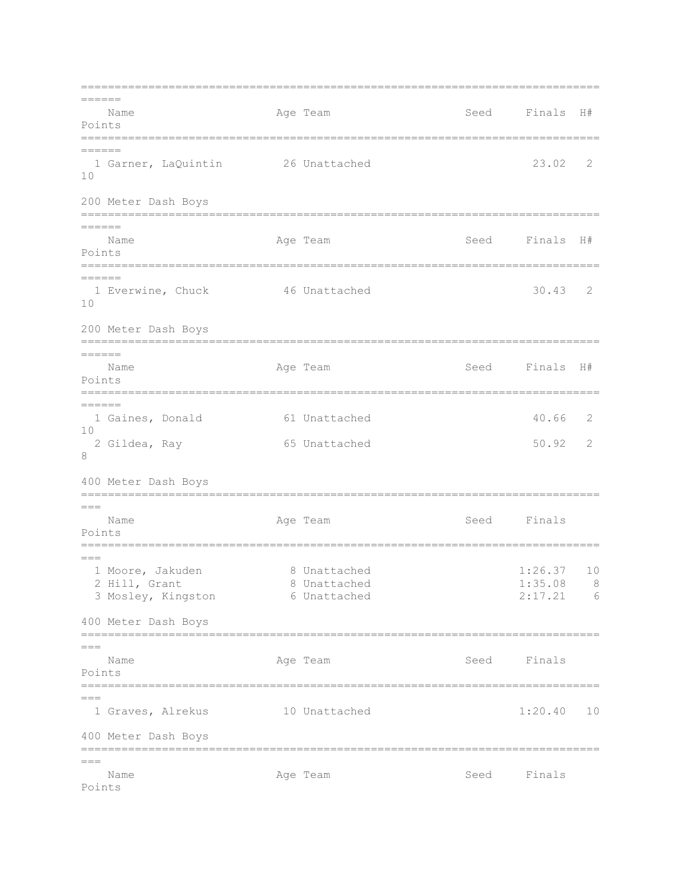=============================================================================  $=$ Name Age Team Seed Finals H# Points ============================================================================= ====== 1 Garner, LaQuintin 26 Unattached 23.02 2 10 200 Meter Dash Boys =============================================================================  $=$ Name **Age Team Seed Finals H**# Points ============================================================================= ====== 1 Everwine, Chuck 46 Unattached 30.43 2 10 200 Meter Dash Boys ============================================================================= ====== Name **Age Team** Age Team Seed Finals H# Points ============================================================================= ====== 1 Gaines, Donald 61 Unattached 40.66 2  $1<sub>0</sub>$ 2 Gildea, Ray 65 Unattached 50.92 2 8 400 Meter Dash Boys =============================================================================  $=-$ Name Age Team Age Team Seed Finals Points ============================================================================= === 1 Moore, Jakuden 8 Unattached 1:26.37 10 2 Hill, Grant 2 8 Unattached 1:35.08 8 3 Mosley, Kingston 6 Unattached 2:17.21 6 400 Meter Dash Boys ============================================================================= === Name **Age Team** Age Team Seed Finals Points ============================================================================= === 1 Graves, Alrekus 10 Unattached 1:20.40 10 400 Meter Dash Boys =============================================================================  $=$ Name **Age Team** Age Team Seed Finals Points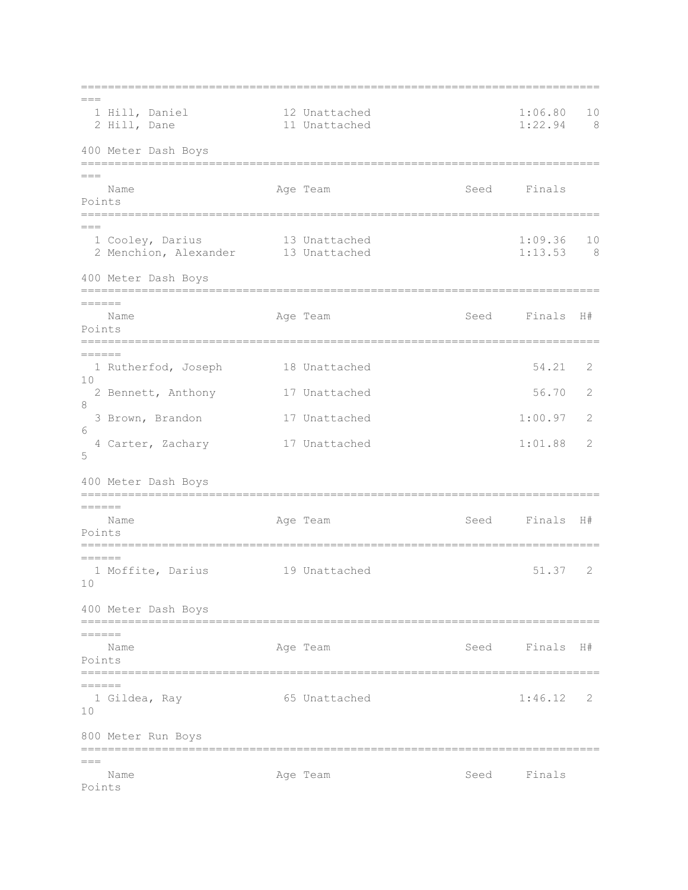=============================================================================  $=$ 1 Hill, Daniel 12 Unattached 1:06.80 10 2 Hill, Dane 11 Unattached 1:22.94 8 400 Meter Dash Boys =============================================================================  $==-$ Name Age Team Seed Finals Points =============================================================================  $=$  1 Cooley, Darius 13 Unattached 1:09.36 10 2 Menchion, Alexander 13 Unattached 1:13.53 8 400 Meter Dash Boys ============================================================================= ====== Name **Age Team** Age Team Seed Finals H# Points ============================================================================= ====== 1 Rutherfod, Joseph 18 Unattached 54.21 2 10 2 Bennett, Anthony 17 Unattached 56.70 2 8 3 Brown, Brandon 17 Unattached 1:00.97 2  $6\overline{6}$  4 Carter, Zachary 17 Unattached 1:01.88 2 5 400 Meter Dash Boys ============================================================================= ====== Name **Age Team** Age Team Seed Finals H# Points ============================================================================= ====== 1 Moffite, Darius 19 Unattached 51.37 2 10 400 Meter Dash Boys =============================================================================  $=$ Name **Age Team** Age Team Seed Finals H# Points =============================================================================  $=$  1 Gildea, Ray 65 Unattached 1:46.12 2 10 800 Meter Run Boys =============================================================================  $=$ Name **Age Team** Age Team Seed Finals Points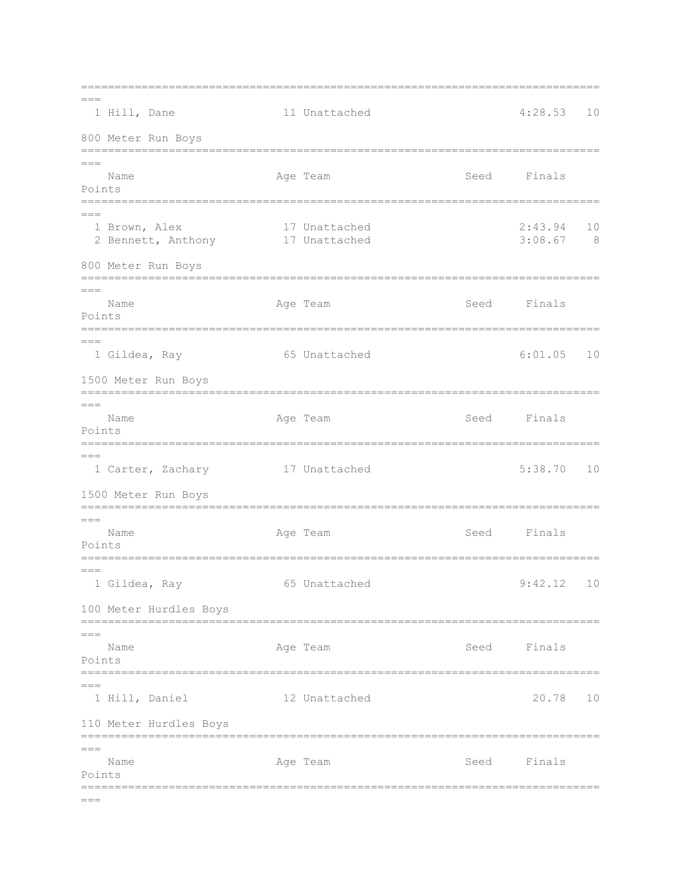=============================================================================  $---$ 1 Hill, Dane 11 Unattached 4:28.53 10 800 Meter Run Boys ============================================================================= === Name **Age Team** Age Team Seed Finals Points =============================================================================  $=$  1 Brown, Alex 17 Unattached 2:43.94 10 2 Bennett, Anthony 17 Unattached 3:08.67 8 800 Meter Run Boys =============================================================================  $=-$ Name **Age Team** Age Team Seed Finals Points ============================================================================= === 1 Gildea, Ray 65 Unattached 6:01.05 10 1500 Meter Run Boys =============================================================================  $=$ Name **Age Team** Age Team Seed Finals Points =============================================================================  $---$  1 Carter, Zachary 17 Unattached 5:38.70 10 1500 Meter Run Boys =============================================================================  $=$ Name Age Team Seed Finals Points =============================================================================  $=$  1 Gildea, Ray 65 Unattached 9:42.12 10 100 Meter Hurdles Boys =============================================================================  $=$ Name **Age Team** Age Team Seed Finals Points =============================================================================  $=$  1 Hill, Daniel 12 Unattached 20.78 10 110 Meter Hurdles Boys =============================================================================  $=$ Name Age Team Seed Finals Points =============================================================================  $=$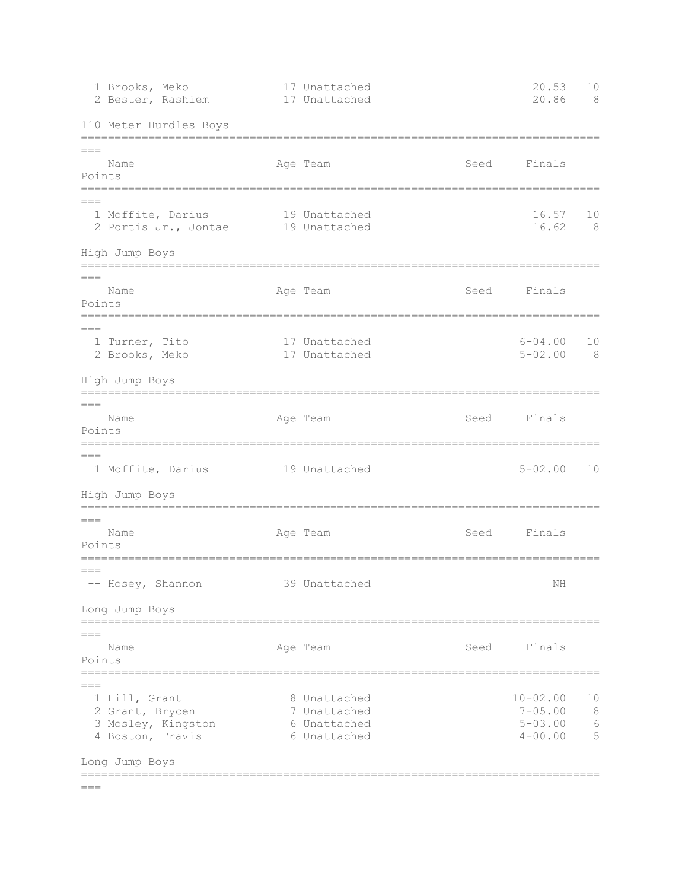| 1 Brooks, Meko<br>2 Bester, Rashiem                                                                   | 17 Unattached<br>17 Unattached                               |      | 20.53<br>20.86                                            | 10<br>- 8                  |
|-------------------------------------------------------------------------------------------------------|--------------------------------------------------------------|------|-----------------------------------------------------------|----------------------------|
| 110 Meter Hurdles Boys                                                                                |                                                              |      |                                                           |                            |
| $===$<br>Name<br>Points<br>========                                                                   | Age Team                                                     | Seed | Finals                                                    |                            |
| $== =$<br>1 Moffite, Darius<br>2 Portis Jr., Jontae                                                   | 19 Unattached<br>19 Unattached                               |      | 16.57<br>16.62                                            | 10<br>- 8                  |
| High Jump Boys<br>=================                                                                   |                                                              |      |                                                           |                            |
| $== ==$<br>Name<br>Points                                                                             | Age Team                                                     | Seed | Finals                                                    |                            |
| $== =$<br>1 Turner, Tito<br>2 Brooks, Meko                                                            | 17 Unattached<br>17 Unattached                               |      | $6 - 04.00$<br>$5 - 02.00$                                | 10<br>- 8                  |
| High Jump Boys                                                                                        |                                                              |      |                                                           |                            |
| $== =$<br>Name<br>Points                                                                              | Age Team                                                     | Seed | Finals                                                    |                            |
| ==========================<br>$===$<br>1 Moffite, Darius                                              | 19 Unattached                                                |      | $5 - 02.00$                                               | 10                         |
| High Jump Boys<br>==================                                                                  |                                                              |      |                                                           |                            |
| $===$<br>Name<br>Points                                                                               | Age Team                                                     | Seed | Finals                                                    |                            |
| $== =$<br>-- Hosey, Shannon                                                                           | 39 Unattached                                                |      | NH                                                        |                            |
| Long Jump Boys                                                                                        |                                                              |      |                                                           |                            |
| $===$<br>Name<br>Points                                                                               | Age Team                                                     | Seed | Finals                                                    |                            |
| $===$<br>1 Hill, Grant<br>2 Grant, Brycen<br>3 Mosley, Kingston<br>4 Boston, Travis<br>Long Jump Boys | 8 Unattached<br>7 Unattached<br>6 Unattached<br>6 Unattached |      | $10 - 02.00$<br>$7 - 05.00$<br>$5 - 03.00$<br>$4 - 00.00$ | 10<br>8<br>$\epsilon$<br>5 |
|                                                                                                       |                                                              |      |                                                           |                            |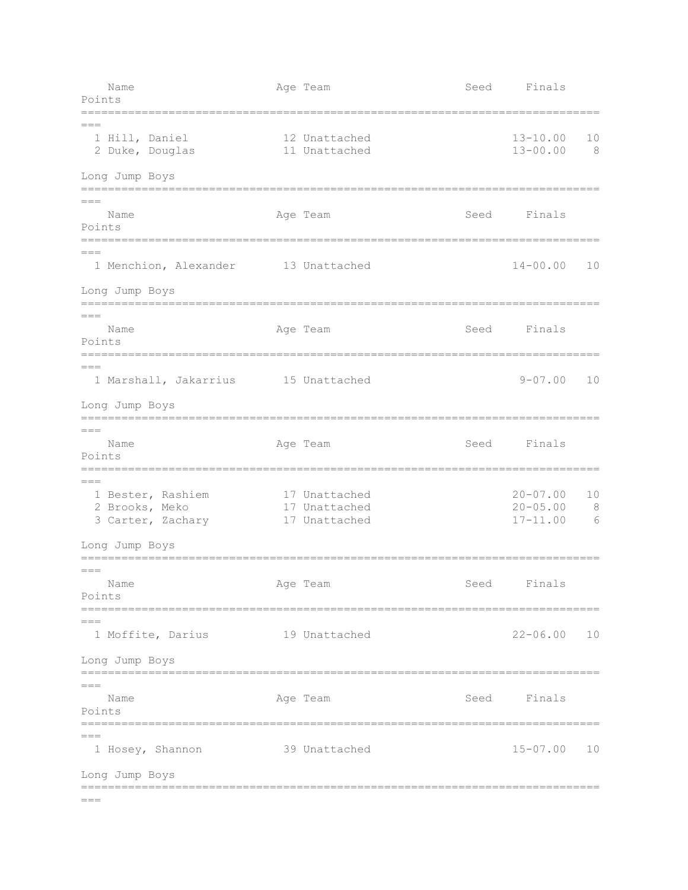Name Age Team Age Team Seed Finals Points =============================================================================  $=$  1 Hill, Daniel 12 Unattached 13-10.00 10 2 Duke, Douglas 11 Unattached 13-00.00 8 Long Jump Boys =============================================================================  $---$ Name **Age Team** Age Team Seed Finals Points ============================================================================= === 1 Menchion, Alexander 13 Unattached 14-00.00 10 Long Jump Boys =============================================================================  $---$ Name **Age Team** Age Team Seed Finals Points =============================================================================  $=$  1 Marshall, Jakarrius 15 Unattached 9-07.00 10 Long Jump Boys =============================================================================  $=$ Name Age Team Age Team Seed Finals Points =============================================================================  $=$  1 Bester, Rashiem 17 Unattached 20-07.00 10 2 Brooks, Meko 17 Unattached 20-05.00 8 3 Carter, Zachary 17 Unattached 17-11.00 6 Long Jump Boys =============================================================================  $=$ Name **Age Team** Age Team Seed Finals Points =============================================================================  $---$  1 Moffite, Darius 19 Unattached 22-06.00 10 Long Jump Boys =============================================================================  $=$ Name **Age Team** Age Team Seed Finals Points =============================================================================  $=$  1 Hosey, Shannon 39 Unattached 15-07.00 10 Long Jump Boys =============================================================================  $=$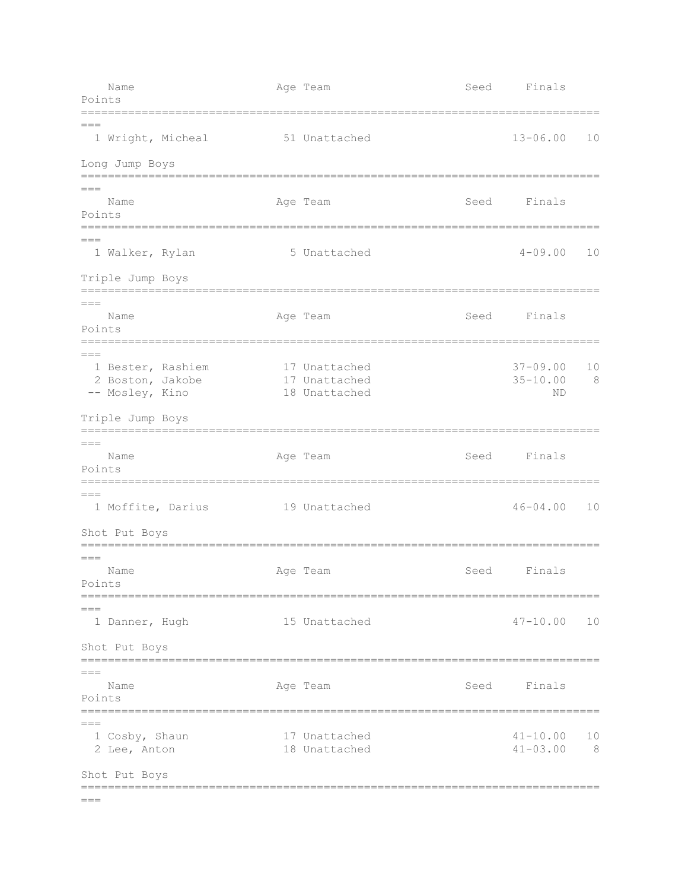| Name<br>Points                                                                        | Age Team                                        | Seed | Finals                             |           |
|---------------------------------------------------------------------------------------|-------------------------------------------------|------|------------------------------------|-----------|
| $== =$<br>1 Wright, Micheal                                                           | 51 Unattached                                   |      | $13 - 06.00$                       | 10        |
| Long Jump Boys                                                                        |                                                 |      |                                    |           |
| $== =$<br>Name<br>Points<br>=======================                                   | Age Team                                        | Seed | Finals                             |           |
| $== =$<br>1 Walker, Rylan                                                             | 5 Unattached                                    |      | $4 - 09.00$                        | 10        |
| Triple Jump Boys                                                                      |                                                 |      |                                    |           |
| $=$ $=$<br>Name<br>Points                                                             | Age Team                                        | Seed | Finals                             |           |
| $===$<br>1 Bester, Rashiem<br>2 Boston, Jakobe<br>-- Mosley, Kino<br>Triple Jump Boys | 17 Unattached<br>17 Unattached<br>18 Unattached |      | $37 - 09.00$<br>$35 - 10.00$<br>ND | 10<br>8   |
|                                                                                       |                                                 |      |                                    |           |
| $== =$<br>Name<br>Points                                                              | Age Team                                        | Seed | Finals                             |           |
| $== =$<br>1 Moffite, Darius                                                           | 19 Unattached                                   |      | $46 - 04.00$                       | 10        |
| Shot Put Boys                                                                         |                                                 |      |                                    |           |
| $== ==$<br>Name<br>Points                                                             | Age Team                                        | Seed | Finals                             |           |
| $===$<br>1 Danner, Hugh                                                               | 15 Unattached                                   |      | $47 - 10.00$                       | 10        |
| Shot Put Boys                                                                         |                                                 |      |                                    |           |
| $== =$<br>Name<br>Points                                                              | Age Team                                        |      | Seed Finals                        |           |
| $===$<br>1 Cosby, Shaun<br>2 Lee, Anton                                               | 17 Unattached<br>18 Unattached                  |      | $41 - 10.00$<br>$41 - 03.00$       | 10<br>- 8 |
| Shot Put Boys                                                                         |                                                 |      |                                    |           |
| $== =$                                                                                |                                                 |      |                                    |           |